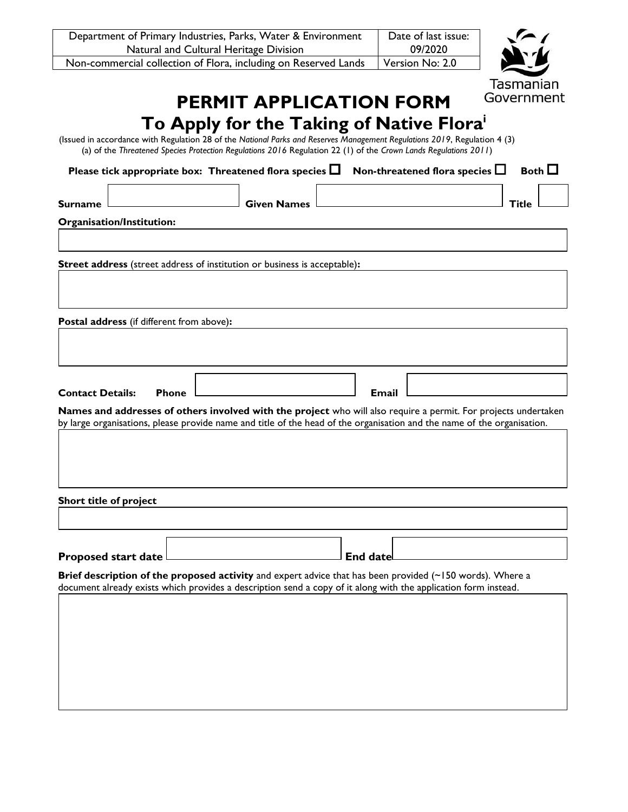| Department of Primary Industries, Parks, Water & Environment    | Date of last issue: |  |
|-----------------------------------------------------------------|---------------------|--|
| Natural and Cultural Heritage Division                          | 09/2020             |  |
| Non-commercial collection of Flora, including on Reserved Lands | Version No: 2.0     |  |



## **PERMIT APPLICATION FORM To Apply for the Taking of Native Flora<sup>i</sup>**

(Issued in accordance with Regulation 28 of the *National Parks and Reserves Management Regulations 2019*, Regulation 4 (3) (a) of the *Threatened Species Protection Regulations 2016* Regulation 22 (1) of the *Crown Lands Regulations 2011*)

|                                           | Please tick appropriate box: Threatened flora species $\Box$                                                                                                                                                                               |                    |                 | Non-threatened flora species L | Both $\square$ |
|-------------------------------------------|--------------------------------------------------------------------------------------------------------------------------------------------------------------------------------------------------------------------------------------------|--------------------|-----------------|--------------------------------|----------------|
| <b>Surname</b>                            |                                                                                                                                                                                                                                            | <b>Given Names</b> |                 |                                | <b>Title</b>   |
| Organisation/Institution:                 |                                                                                                                                                                                                                                            |                    |                 |                                |                |
|                                           |                                                                                                                                                                                                                                            |                    |                 |                                |                |
|                                           | Street address (street address of institution or business is acceptable):                                                                                                                                                                  |                    |                 |                                |                |
|                                           |                                                                                                                                                                                                                                            |                    |                 |                                |                |
| Postal address (if different from above): |                                                                                                                                                                                                                                            |                    |                 |                                |                |
|                                           |                                                                                                                                                                                                                                            |                    |                 |                                |                |
|                                           |                                                                                                                                                                                                                                            |                    |                 |                                |                |
| <b>Contact Details:</b>                   | <b>Phone</b>                                                                                                                                                                                                                               |                    | <b>Email</b>    |                                |                |
|                                           | Names and addresses of others involved with the project who will also require a permit. For projects undertaken<br>by large organisations, please provide name and title of the head of the organisation and the name of the organisation. |                    |                 |                                |                |
|                                           |                                                                                                                                                                                                                                            |                    |                 |                                |                |
|                                           |                                                                                                                                                                                                                                            |                    |                 |                                |                |
| Short title of project                    |                                                                                                                                                                                                                                            |                    |                 |                                |                |
|                                           |                                                                                                                                                                                                                                            |                    |                 |                                |                |
|                                           |                                                                                                                                                                                                                                            |                    |                 |                                |                |
| <b>Proposed start date</b>                |                                                                                                                                                                                                                                            |                    | <b>End date</b> |                                |                |
|                                           | Brief description of the proposed activity and expert advice that has been provided (~150 words). Where a<br>document already exists which provides a description send a copy of it along with the application form instead.               |                    |                 |                                |                |
|                                           |                                                                                                                                                                                                                                            |                    |                 |                                |                |
|                                           |                                                                                                                                                                                                                                            |                    |                 |                                |                |
|                                           |                                                                                                                                                                                                                                            |                    |                 |                                |                |
|                                           |                                                                                                                                                                                                                                            |                    |                 |                                |                |
|                                           |                                                                                                                                                                                                                                            |                    |                 |                                |                |
|                                           |                                                                                                                                                                                                                                            |                    |                 |                                |                |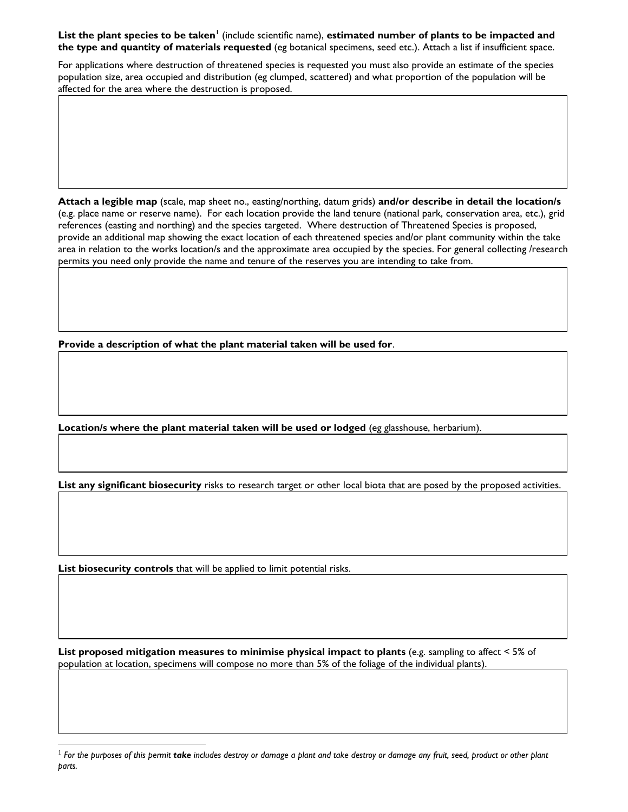## **List the plant species to be taken<sup>1</sup>** (include scientific name), **estimated number of plants to be impacted and the type and quantity of materials requested** (eg botanical specimens, seed etc.). Attach a list if insufficient space.

For applications where destruction of threatened species is requested you must also provide an estimate of the species population size, area occupied and distribution (eg clumped, scattered) and what proportion of the population will be affected for the area where the destruction is proposed.

**Attach a legible map** (scale, map sheet no., easting/northing, datum grids) **and/or describe in detail the location/s** (e.g. place name or reserve name). For each location provide the land tenure (national park, conservation area, etc.), grid references (easting and northing) and the species targeted. Where destruction of Threatened Species is proposed, provide an additional map showing the exact location of each threatened species and/or plant community within the take area in relation to the works location/s and the approximate area occupied by the species. For general collecting /research permits you need only provide the name and tenure of the reserves you are intending to take from.

**Provide a description of what the plant material taken will be used for**.

**Location/s where the plant material taken will be used or lodged** (eg glasshouse, herbarium).

**List any significant biosecurity** risks to research target or other local biota that are posed by the proposed activities.

**List biosecurity controls** that will be applied to limit potential risks.

l

**List proposed mitigation measures to minimise physical impact to plants** (e.g. sampling to affect < 5% of population at location, specimens will compose no more than 5% of the foliage of the individual plants).

<sup>&</sup>lt;sup>1</sup> For the purposes of this permit **take** includes destroy or damage a plant and take destroy or damage any fruit, seed, product or other plant *parts.*